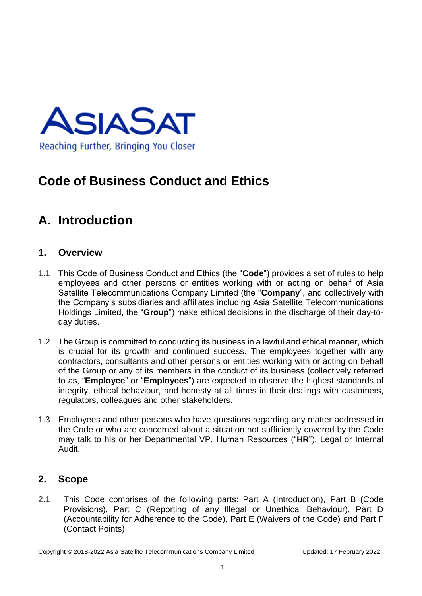

### **Code of Business Conduct and Ethics**

## **A. Introduction**

#### **1. Overview**

- 1.1 This Code of Business Conduct and Ethics (the "**Code**") provides a set of rules to help employees and other persons or entities working with or acting on behalf of Asia Satellite Telecommunications Company Limited (the "**Company**", and collectively with the Company's subsidiaries and affiliates including Asia Satellite Telecommunications Holdings Limited, the "**Group**") make ethical decisions in the discharge of their day-today duties.
- 1.2 The Group is committed to conducting its business in a lawful and ethical manner, which is crucial for its growth and continued success. The employees together with any contractors, consultants and other persons or entities working with or acting on behalf of the Group or any of its members in the conduct of its business (collectively referred to as, "**Employee**" or "**Employees**") are expected to observe the highest standards of integrity, ethical behaviour, and honesty at all times in their dealings with customers, regulators, colleagues and other stakeholders.
- 1.3 Employees and other persons who have questions regarding any matter addressed in the Code or who are concerned about a situation not sufficiently covered by the Code may talk to his or her Departmental VP, Human Resources ("**HR**"), Legal or Internal Audit.

#### **2. Scope**

2.1 This Code comprises of the following parts: Part A (Introduction), Part B (Code Provisions), Part C (Reporting of any Illegal or Unethical Behaviour), Part D (Accountability for Adherence to the Code), Part E (Waivers of the Code) and Part F (Contact Points).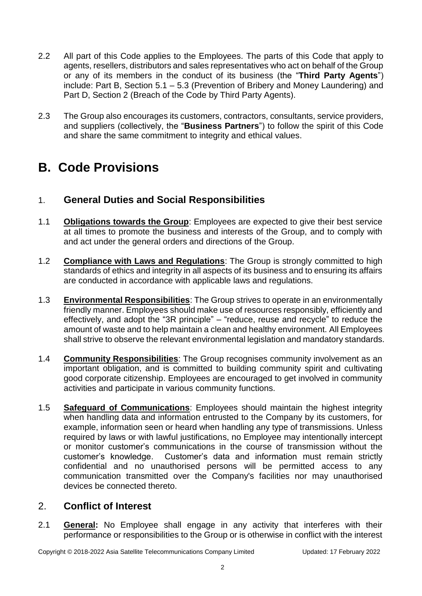- 2.2 All part of this Code applies to the Employees. The parts of this Code that apply to agents, resellers, distributors and sales representatives who act on behalf of the Group or any of its members in the conduct of its business (the "**Third Party Agents**") include: Part B, Section 5.1 – 5.3 (Prevention of Bribery and Money Laundering) and Part D, Section 2 (Breach of the Code by Third Party Agents).
- 2.3 The Group also encourages its customers, contractors, consultants, service providers, and suppliers (collectively, the "**Business Partners**") to follow the spirit of this Code and share the same commitment to integrity and ethical values.

### **B. Code Provisions**

### 1. **General Duties and Social Responsibilities**

- 1.1 **Obligations towards the Group**: Employees are expected to give their best service at all times to promote the business and interests of the Group, and to comply with and act under the general orders and directions of the Group.
- 1.2 **Compliance with Laws and Regulations**: The Group is strongly committed to high standards of ethics and integrity in all aspects of its business and to ensuring its affairs are conducted in accordance with applicable laws and regulations.
- 1.3 **Environmental Responsibilities**: The Group strives to operate in an environmentally friendly manner. Employees should make use of resources responsibly, efficiently and effectively, and adopt the "3R principle" – "reduce, reuse and recycle" to reduce the amount of waste and to help maintain a clean and healthy environment. All Employees shall strive to observe the relevant environmental legislation and mandatory standards.
- 1.4 **Community Responsibilities**: The Group recognises community involvement as an important obligation, and is committed to building community spirit and cultivating good corporate citizenship. Employees are encouraged to get involved in community activities and participate in various community functions.
- 1.5 **Safeguard of Communications**: Employees should maintain the highest integrity when handling data and information entrusted to the Company by its customers, for example, information seen or heard when handling any type of transmissions. Unless required by laws or with lawful justifications, no Employee may intentionally intercept or monitor customer's communications in the course of transmission without the customer's knowledge. Customer's data and information must remain strictly confidential and no unauthorised persons will be permitted access to any communication transmitted over the Company's facilities nor may unauthorised devices be connected thereto.

### 2. **Conflict of Interest**

2.1 **General:** No Employee shall engage in any activity that interferes with their performance or responsibilities to the Group or is otherwise in conflict with the interest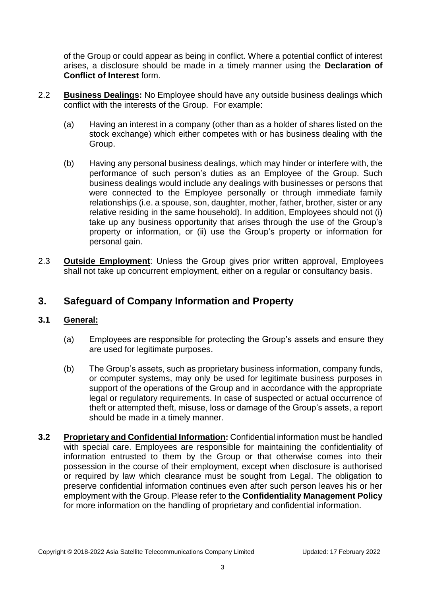of the Group or could appear as being in conflict. Where a potential conflict of interest arises, a disclosure should be made in a timely manner using the **Declaration of Conflict of Interest** form.

- 2.2 **Business Dealings:** No Employee should have any outside business dealings which conflict with the interests of the Group. For example:
	- (a) Having an interest in a company (other than as a holder of shares listed on the stock exchange) which either competes with or has business dealing with the Group.
	- (b) Having any personal business dealings, which may hinder or interfere with, the performance of such person's duties as an Employee of the Group. Such business dealings would include any dealings with businesses or persons that were connected to the Employee personally or through immediate family relationships (i.e. a spouse, son, daughter, mother, father, brother, sister or any relative residing in the same household). In addition, Employees should not (i) take up any business opportunity that arises through the use of the Group's property or information, or (ii) use the Group's property or information for personal gain.
- 2.3 **Outside Employment**: Unless the Group gives prior written approval, Employees shall not take up concurrent employment, either on a regular or consultancy basis.

### **3. Safeguard of Company Information and Property**

#### **3.1 General:**

- (a) Employees are responsible for protecting the Group's assets and ensure they are used for legitimate purposes.
- (b) The Group's assets, such as proprietary business information, company funds, or computer systems, may only be used for legitimate business purposes in support of the operations of the Group and in accordance with the appropriate legal or regulatory requirements. In case of suspected or actual occurrence of theft or attempted theft, misuse, loss or damage of the Group's assets, a report should be made in a timely manner.
- **3.2 Proprietary and Confidential Information:** Confidential information must be handled with special care. Employees are responsible for maintaining the confidentiality of information entrusted to them by the Group or that otherwise comes into their possession in the course of their employment, except when disclosure is authorised or required by law which clearance must be sought from Legal. The obligation to preserve confidential information continues even after such person leaves his or her employment with the Group. Please refer to the **Confidentiality Management Policy** for more information on the handling of proprietary and confidential information.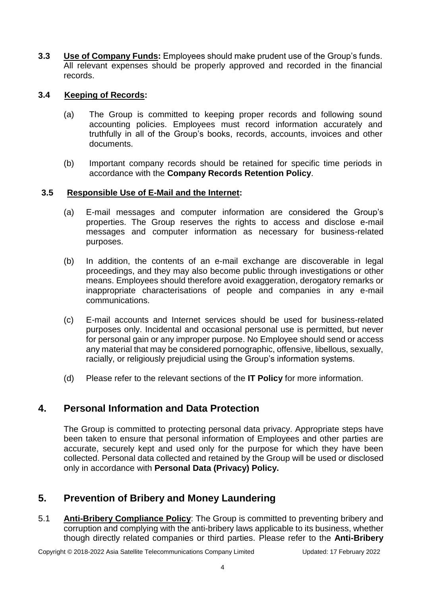**3.3 Use of Company Funds:** Employees should make prudent use of the Group's funds. All relevant expenses should be properly approved and recorded in the financial records.

#### **3.4 Keeping of Records:**

- (a) The Group is committed to keeping proper records and following sound accounting policies. Employees must record information accurately and truthfully in all of the Group's books, records, accounts, invoices and other documents.
- (b) Important company records should be retained for specific time periods in accordance with the **Company Records Retention Policy**.

#### **3.5 Responsible Use of E-Mail and the Internet:**

- (a) E-mail messages and computer information are considered the Group's properties. The Group reserves the rights to access and disclose e-mail messages and computer information as necessary for business-related purposes.
- (b) In addition, the contents of an e-mail exchange are discoverable in legal proceedings, and they may also become public through investigations or other means. Employees should therefore avoid exaggeration, derogatory remarks or inappropriate characterisations of people and companies in any e-mail communications.
- (c) E-mail accounts and Internet services should be used for business-related purposes only. Incidental and occasional personal use is permitted, but never for personal gain or any improper purpose. No Employee should send or access any material that may be considered pornographic, offensive, libellous, sexually, racially, or religiously prejudicial using the Group's information systems.
- (d) Please refer to the relevant sections of the **IT Policy** for more information.

### **4. Personal Information and Data Protection**

The Group is committed to protecting personal data privacy. Appropriate steps have been taken to ensure that personal information of Employees and other parties are accurate, securely kept and used only for the purpose for which they have been collected. Personal data collected and retained by the Group will be used or disclosed only in accordance with **Personal Data (Privacy) Policy.**

### **5. Prevention of Bribery and Money Laundering**

5.1 **Anti-Bribery Compliance Policy**: The Group is committed to preventing bribery and corruption and complying with the anti-bribery laws applicable to its business, whether though directly related companies or third parties. Please refer to the **Anti-Bribery** 

Copyright © 2018-2022 Asia Satellite Telecommunications Company Limited Updated: 17 February 2022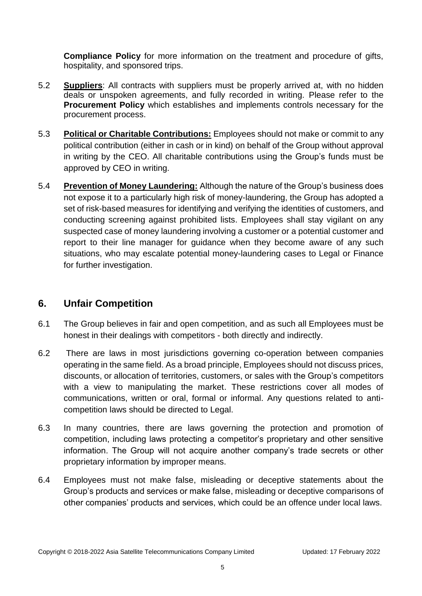**Compliance Policy** for more information on the treatment and procedure of gifts, hospitality, and sponsored trips.

- 5.2 **Suppliers**: All contracts with suppliers must be properly arrived at, with no hidden deals or unspoken agreements, and fully recorded in writing. Please refer to the **Procurement Policy** which establishes and implements controls necessary for the procurement process.
- 5.3 **Political or Charitable Contributions:** Employees should not make or commit to any political contribution (either in cash or in kind) on behalf of the Group without approval in writing by the CEO. All charitable contributions using the Group's funds must be approved by CEO in writing.
- 5.4 **Prevention of Money Laundering:** Although the nature of the Group's business does not expose it to a particularly high risk of money-laundering, the Group has adopted a set of risk-based measures for identifying and verifying the identities of customers, and conducting screening against prohibited lists. Employees shall stay vigilant on any suspected case of money laundering involving a customer or a potential customer and report to their line manager for guidance when they become aware of any such situations, who may escalate potential money-laundering cases to Legal or Finance for further investigation.

### **6. Unfair Competition**

- 6.1 The Group believes in fair and open competition, and as such all Employees must be honest in their dealings with competitors - both directly and indirectly.
- 6.2 There are laws in most jurisdictions governing co-operation between companies operating in the same field. As a broad principle, Employees should not discuss prices, discounts, or allocation of territories, customers, or sales with the Group's competitors with a view to manipulating the market. These restrictions cover all modes of communications, written or oral, formal or informal. Any questions related to anticompetition laws should be directed to Legal.
- 6.3 In many countries, there are laws governing the protection and promotion of competition, including laws protecting a competitor's proprietary and other sensitive information. The Group will not acquire another company's trade secrets or other proprietary information by improper means.
- 6.4 Employees must not make false, misleading or deceptive statements about the Group's products and services or make false, misleading or deceptive comparisons of other companies' products and services, which could be an offence under local laws.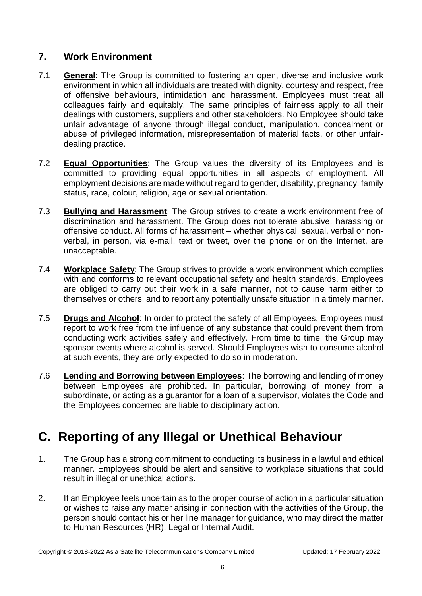### **7. Work Environment**

- 7.1 **General**: The Group is committed to fostering an open, diverse and inclusive work environment in which all individuals are treated with dignity, courtesy and respect, free of offensive behaviours, intimidation and harassment. Employees must treat all colleagues fairly and equitably. The same principles of fairness apply to all their dealings with customers, suppliers and other stakeholders. No Employee should take unfair advantage of anyone through illegal conduct, manipulation, concealment or abuse of privileged information, misrepresentation of material facts, or other unfairdealing practice.
- 7.2 **Equal Opportunities**: The Group values the diversity of its Employees and is committed to providing equal opportunities in all aspects of employment. All employment decisions are made without regard to gender, disability, pregnancy, family status, race, colour, religion, age or sexual orientation.
- 7.3 **Bullying and Harassment**: The Group strives to create a work environment free of discrimination and harassment. The Group does not tolerate abusive, harassing or offensive conduct. All forms of harassment – whether physical, sexual, verbal or nonverbal, in person, via e-mail, text or tweet, over the phone or on the Internet, are unacceptable.
- 7.4 **Workplace Safety**: The Group strives to provide a work environment which complies with and conforms to relevant occupational safety and health standards. Employees are obliged to carry out their work in a safe manner, not to cause harm either to themselves or others, and to report any potentially unsafe situation in a timely manner.
- 7.5 **Drugs and Alcohol**: In order to protect the safety of all Employees, Employees must report to work free from the influence of any substance that could prevent them from conducting work activities safely and effectively. From time to time, the Group may sponsor events where alcohol is served. Should Employees wish to consume alcohol at such events, they are only expected to do so in moderation.
- 7.6 **Lending and Borrowing between Employees**: The borrowing and lending of money between Employees are prohibited. In particular, borrowing of money from a subordinate, or acting as a guarantor for a loan of a supervisor, violates the Code and the Employees concerned are liable to disciplinary action.

# **C. Reporting of any Illegal or Unethical Behaviour**

- 1. The Group has a strong commitment to conducting its business in a lawful and ethical manner. Employees should be alert and sensitive to workplace situations that could result in illegal or unethical actions.
- 2. If an Employee feels uncertain as to the proper course of action in a particular situation or wishes to raise any matter arising in connection with the activities of the Group, the person should contact his or her line manager for guidance, who may direct the matter to Human Resources (HR), Legal or Internal Audit.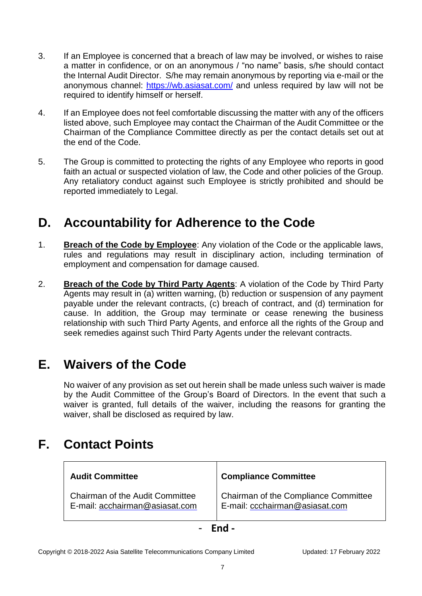- 3. If an Employee is concerned that a breach of law may be involved, or wishes to raise a matter in confidence, or on an anonymous / "no name" basis, s/he should contact the Internal Audit Director. S/he may remain anonymous by reporting via e-mail or the anonymous channel:<https://wb.asiasat.com/> and unless required by law will not be required to identify himself or herself.
- 4. If an Employee does not feel comfortable discussing the matter with any of the officers listed above, such Employee may contact the Chairman of the Audit Committee or the Chairman of the Compliance Committee directly as per the contact details set out at the end of the Code.
- 5. The Group is committed to protecting the rights of any Employee who reports in good faith an actual or suspected violation of law, the Code and other policies of the Group. Any retaliatory conduct against such Employee is strictly prohibited and should be reported immediately to Legal.

### **D. Accountability for Adherence to the Code**

- 1. **Breach of the Code by Employee**: Any violation of the Code or the applicable laws, rules and regulations may result in disciplinary action, including termination of employment and compensation for damage caused.
- 2. **Breach of the Code by Third Party Agents**: A violation of the Code by Third Party Agents may result in (a) written warning, (b) reduction or suspension of any payment payable under the relevant contracts, (c) breach of contract, and (d) termination for cause. In addition, the Group may terminate or cease renewing the business relationship with such Third Party Agents, and enforce all the rights of the Group and seek remedies against such Third Party Agents under the relevant contracts.

# **E. Waivers of the Code**

No waiver of any provision as set out herein shall be made unless such waiver is made by the Audit Committee of the Group's Board of Directors. In the event that such a waiver is granted, full details of the waiver, including the reasons for granting the waiver, shall be disclosed as required by law.

# **F. Contact Points**

| <b>Audit Committee</b>                 | <b>Compliance Committee</b>          |
|----------------------------------------|--------------------------------------|
| <b>Chairman of the Audit Committee</b> | Chairman of the Compliance Committee |
| E-mail: acchairman@asiasat.com         | E-mail: ccchairman@asiasat.com       |

- **End -**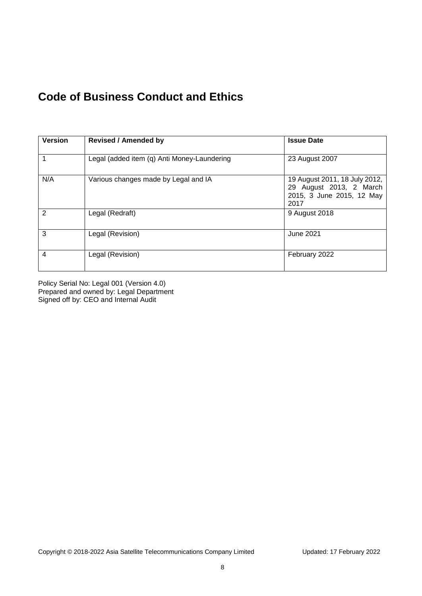### **Code of Business Conduct and Ethics**

| <b>Version</b> | <b>Revised / Amended by</b>                 | <b>Issue Date</b>                                                                             |
|----------------|---------------------------------------------|-----------------------------------------------------------------------------------------------|
|                | Legal (added item (q) Anti Money-Laundering | 23 August 2007                                                                                |
| N/A            | Various changes made by Legal and IA        | 19 August 2011, 18 July 2012,<br>29 August 2013, 2 March<br>2015, 3 June 2015, 12 May<br>2017 |
| $\overline{2}$ | Legal (Redraft)                             | 9 August 2018                                                                                 |
| 3              | Legal (Revision)                            | June 2021                                                                                     |
| $\overline{4}$ | Legal (Revision)                            | February 2022                                                                                 |

Policy Serial No: Legal 001 (Version 4.0) Prepared and owned by: Legal Department Signed off by: CEO and Internal Audit